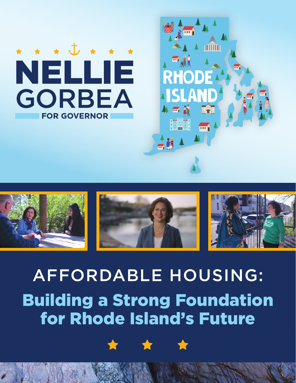





# AFFORDABLE HOUSING: Building a Strong Foundation for Rhode Island's Future



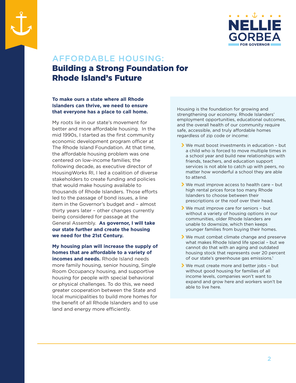



## AFFORDABLE HOUSING: Building a Strong Foundation for Rhode Island's Future

### **To make ours a state where all Rhode Islanders can thrive, we need to ensure that everyone has a place to call home.**

My roots lie in our state's movement for better and more affordable housing. In the mid 1990s, I started as the first community economic development program officer at The Rhode Island Foundation. At that time, the affordable housing problem was one centered on low-income families; the following decade, as executive director of HousingWorks RI, I led a coalition of diverse stakeholders to create funding and policies that would make housing available to thousands of Rhode Islanders. Those efforts led to the passage of bond issues, a line item in the Governor's budget and – almost thirty years later – other changes currently being considered for passage at the General Assembly. **As governor, I will take our state further and create the housing we need for the 21st Century.**

#### **My housing plan will increase the supply of homes that are affordable to a variety of incomes and needs.** Rhode Island needs more family housing, senior housing, Single Room Occupancy housing, and supportive housing for people with special behavioral or physical challenges. To do this, we need greater cooperation between the State and local municipalities to build more homes for

the benefit of all Rhode Islanders and to use

land and energy more efficiently.

Housing is the foundation for growing and strengthening our economy. Rhode Islanders' employment opportunities, educational outcomes, and the overall health of our community require safe, accessible, and truly affordable homes regardless of zip code or income:

- $\blacktriangleright$  We must boost investments in education but a child who is forced to move multiple times in a school year and build new relationships with friends, teachers, and education support services is not able to catch up with peers, no matter how wonderful a school they are able to attend.
- $\blacktriangleright$  We must improve access to health care but high rental prices force too many Rhode Islanders to choose between their prescriptions or the roof over their head.
- \ We must improve care for seniors but without a variety of housing options in our communities, older Rhode Islanders are unable to downsize, which then keeps younger families from buying their homes.
- \ We must combat climate change and preserve what makes Rhode Island life special – but we cannot do that with an aging and outdated housing stock that represents over 20 percent of our state's greenhouse gas emissions.<sup>1</sup>
- $\blacktriangleright$  We must create more and better jobs but without good housing for families of all income levels, companies won't want to expand and grow here and workers won't be able to live here.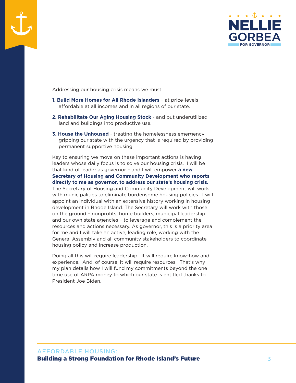



Addressing our housing crisis means we must:

- **1. Build More Homes for All Rhode Islanders**  at price-levels affordable at all incomes and in all regions of our state.
- **2. Rehabilitate Our Aging Housing Stock** and put underutilized land and buildings into productive use.
- **3. House the Unhoused** treating the homelessness emergency gripping our state with the urgency that is required by providing permanent supportive housing.

Key to ensuring we move on these important actions is having leaders whose daily focus is to solve our housing crisis. I will be that kind of leader as governor – and I will empower **a new Secretary of Housing and Community Development who reports directly to me as governor, to address our state's housing crisis.**  The Secretary of Housing and Community Development will work with municipalities to eliminate burdensome housing policies. I will appoint an individual with an extensive history working in housing development in Rhode Island. The Secretary will work with those on the ground – nonprofits, home builders, municipal leadership and our own state agencies – to leverage and complement the resources and actions necessary. As governor, this is a priority area for me and I will take an active, leading role, working with the General Assembly and all community stakeholders to coordinate housing policy and increase production.

Doing all this will require leadership. It will require know-how and experience. And, of course, it will require resources. That's why my plan details how I will fund my commitments beyond the one time use of ARPA money to which our state is entitled thanks to President Joe Biden.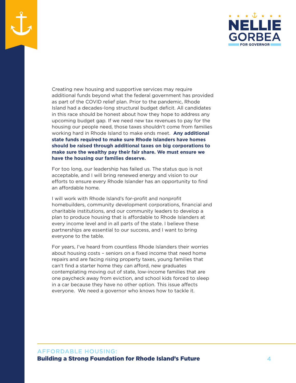

Creating new housing and supportive services may require additional funds beyond what the federal government has provided as part of the COVID relief plan. Prior to the pandemic, Rhode Island had a decades-long structural budget deficit. All candidates in this race should be honest about how they hope to address any upcoming budget gap. If we need new tax revenues to pay for the housing our people need, those taxes shouldn't come from families working hard in Rhode Island to make ends meet. **Any additional state funds required to make sure Rhode Islanders have homes should be raised through additional taxes on big corporations to make sure the wealthy pay their fair share. We must ensure we have the housing our families deserve.**

For too long, our leadership has failed us. The status quo is not acceptable, and I will bring renewed energy and vision to our efforts to ensure every Rhode Islander has an opportunity to find an affordable home.

I will work with Rhode Island's for-profit and nonprofit homebuilders, community development corporations, financial and charitable institutions, and our community leaders to develop a plan to produce housing that is affordable to Rhode Islanders at every income level and in all parts of the state. I believe these partnerships are essential to our success, and I want to bring everyone to the table.

For years, I've heard from countless Rhode Islanders their worries about housing costs – seniors on a fixed income that need home repairs and are facing rising property taxes, young families that can't find a starter home they can afford, new graduates contemplating moving out of state, low-income families that are one paycheck away from eviction, and school kids forced to sleep in a car because they have no other option. This issue affects everyone. We need a governor who knows how to tackle it.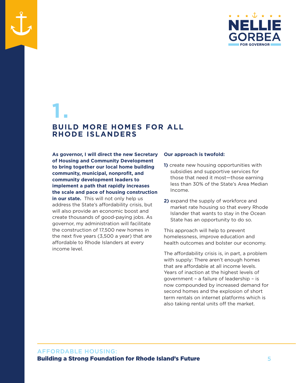

# **1. BUILD MORE HOMES FOR ALL RHODE ISLANDERS**

**As governor, I will direct the new Secretary of Housing and Community Development to bring together our local home building community, municipal, nonprofit, and community development leaders to implement a path that rapidly increases the scale and pace of housing construction**  in our state. This will not only help us address the State's affordability crisis, but will also provide an economic boost and create thousands of good-paying jobs. As governor, my administration will facilitate the construction of 17,500 new homes in the next five years (3,500 a year) that are affordable to Rhode Islanders at every income level.

#### **Our approach is twofold:**

- **1)** create new housing opportunities with subsidies and supportive services for those that need it most—those earning less than 30% of the State's Area Median Income.
- **2)** expand the supply of workforce and market rate housing so that every Rhode Islander that wants to stay in the Ocean State has an opportunity to do so.

This approach will help to prevent homelessness, improve education and health outcomes and bolster our economy.

The affordability crisis is, in part, a problem with supply: There aren't enough homes that are affordable at all income levels. Years of inaction at the highest levels of government – a failure of leadership – is now compounded by increased demand for second homes and the explosion of short term rentals on internet platforms which is also taking rental units off the market.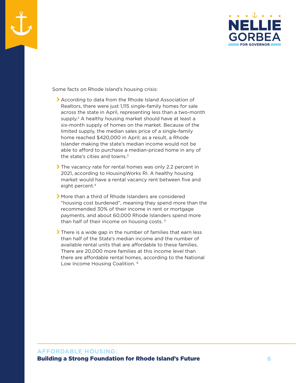



Some facts on Rhode Island's housing crisis:

- \ According to data from the Rhode Island Association of Realtors, there were just 1,115 single-family homes for sale across the state in April, representing less than a two-month supply.<sup>2</sup> A healthy housing market should have at least a six-month supply of homes on the market. Because of the limited supply, the median sales price of a single-family home reached \$420,000 in April; as a result, a Rhode Islander making the state's median income would not be able to afford to purchase a median-priced home in any of the state's cities and towns. $3$
- \ The vacancy rate for rental homes was only 2.2 percent in 2021, according to HousingWorks RI. A healthy housing market would have a rental vacancy rent between five and eight percent.<sup>4</sup>
- \ More than a third of Rhode Islanders are considered "housing cost burdened", meaning they spend more than the recommended 30% of their income in rent or mortgage payments, and about 60,000 Rhode Islanders spend more than half of their income on housing costs. 5
- $\blacktriangleright$  There is a wide gap in the number of families that earn less than half of the State's median income and the number of available rental units that are affordable to these families. There are 20,000 more families at this income level than there are affordable rental homes, according to the National Low Income Housing Coalition.<sup>6</sup>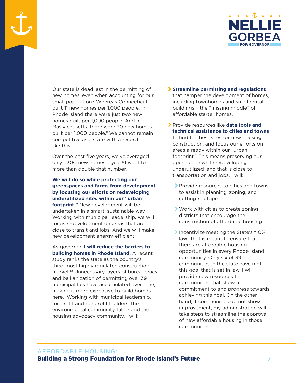

Our state is dead last in the permitting of new homes, even when accounting for our small population.<sup>7</sup> Whereas Connecticut built 11 new homes per 1,000 people, in Rhode Island there were just two new homes built per 1,000 people. And in Massachusetts, there were 30 new homes built per 1,000 people.<sup>8</sup> We cannot remain competitive as a state with a record like this.

Over the past five years, we've averaged only 1,300 new homes a year.<sup>9</sup> I want to more than double that number.

### **We will do so while protecting our greenspaces and farms from development by focusing our efforts on redeveloping underutilized sites within our "urban footprint."** New development will be undertaken in a smart, sustainable way. Working with municipal leadership, we will

focus redevelopment on areas that are close to transit and jobs. And we will make new development energy-efficient.

As governor, **I will reduce the barriers to building homes in Rhode Island.** A recent study ranks the state as the country's third-most highly regulated construction market.<sup>10</sup> Unnecessary layers of bureaucracy and balkanization of permitting over 39 municipalities have accumulated over time, making it more expensive to build homes here. Working with municipal leadership, for profit and nonprofit builders, the environmental community, labor and the housing advocacy community, I will:

- \ **Streamline permitting and regulations** that hamper the development of homes, including townhomes and small rental buildings – the "missing middle" of affordable starter homes.
- \ Provide resources like **data tools and technical assistance to cities and towns** to find the best sites for new housing construction, and focus our efforts on areas already within our "urban footprint." This means preserving our open space while redeveloping underutilized land that is close to transportation and jobs. I will:
	- \ Provide resources to cities and towns to assist in planning, zoning, and cutting red tape.
	- \ Work with cities to create zoning districts that encourage the construction of affordable housing.
	- \ Incentivize meeting the State's "10% law" that is meant to ensure that there are affordable housing opportunities in every Rhode Island community. Only six of 39 communities in the state have met this goal that is set in law. I will provide new resources to communities that show a commitment to and progress towards achieving this goal. On the other hand, if communities do not show improvement, my administration will take steps to streamline the approval of new affordable housing in those communities.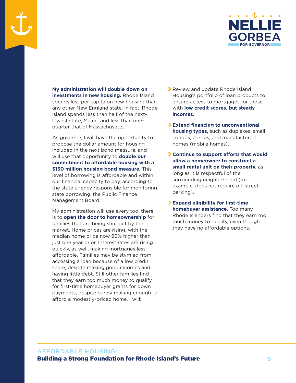

**My administration will double down on investments in new housing.** Rhode Island spends less per capita on new housing than any other New England state. In fact, Rhode Island spends less than half of the nextlowest state, Maine, and less than onequarter that of Massachusetts.<sup>11</sup>

As governor, I will have the opportunity to propose the dollar amount for housing included in the next bond measure, and I will use that opportunity to **double our commitment to affordable housing with a \$130 million housing bond measure.** This level of borrowing is affordable and within our financial capacity to pay, according to the state agency responsible for monitoring state borrowing, the Public Finance Management Board.

My administration will use every tool there is to **open the door to homeownership** for families that are being shut out by the market. Home prices are rising, with the median home price now 20% higher than just one year prior. Interest rates are rising quickly, as well, making mortgages less affordable. Families may be stymied from accessing a loan because of a low credit score, despite making good incomes and having little debt. Still other families find that they earn too much money to qualify for first-time homebuyer grants for down payments, despite barely making enough to afford a modestly-priced home. I will:

- **>** Review and update Rhode Island Housing's portfolio of loan products to ensure access to mortgages for those with **low credit scores, but steady incomes.**
- \ **Extend financing to unconventional housing types,** such as duplexes, small condos, co-ops, and manufactured homes (mobile homes).
- \ **Continue to support efforts that would allow a homeowner to construct a small rental unit on their property,** as long as it is respectful of the surrounding neighborhood (for example, does not require off-street parking).
- \ **Expand eligibility for first-time homebuyer assistance.** Too many Rhode Islanders find that they earn too much money to qualify, even though they have no affordable options.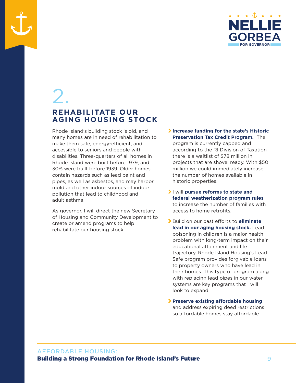

# 2.

### **REHABILITATE OUR AGING HOUSING STOCK**

Rhode Island's building stock is old, and many homes are in need of rehabilitation to make them safe, energy-efficient, and accessible to seniors and people with disabilities. Three-quarters of all homes in Rhode Island were built before 1979, and 30% were built before 1939. Older homes contain hazards such as lead paint and pipes, as well as asbestos, and may harbor mold and other indoor sources of indoor pollution that lead to childhood and adult asthma.

As governor, I will direct the new Secretary of Housing and Community Development to create or amend programs to help rehabilitate our housing stock:

- \ **Increase funding for the state's Historic Preservation Tax Credit Program.** The program is currently capped and according to the RI Division of Taxation there is a waitlist of \$78 million in projects that are shovel ready. With \$50 million we could immediately increase the number of homes available in historic properties.
- \ I will **pursue reforms to state and federal weatherization program rules**  to increase the number of families with access to home retrofits.
- \ Build on our past efforts to **eliminate lead in our aging housing stock.** Lead poisoning in children is a major health problem with long-term impact on their educational attainment and life trajectory. Rhode Island Housing's Lead Safe program provides forgivable loans to property owners who have lead in their homes. This type of program along with replacing lead pipes in our water systems are key programs that I will look to expand.
- \ **Preserve existing affordable housing** and address expiring deed restrictions so affordable homes stay affordable.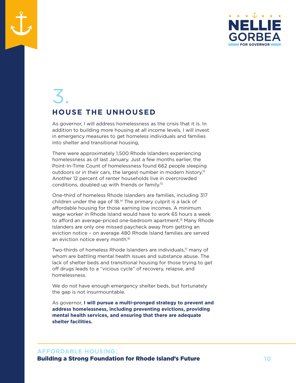

# 3. **HOUSE THE UNHOUSED**

As governor, I will address homelessness as the crisis that it is. In addition to building more housing at all income levels, I will invest in emergency measures to get homeless individuals and families into shelter and transitional housing,

There were approximately 1,500 Rhode Islanders experiencing homelessness as of last January. Just a few months earlier, the Point-In-Time Count of homelessness found 662 people sleeping outdoors or in their cars, the largest number in modern history.<sup>12</sup> Another 12 percent of renter households live in overcrowded conditions, doubled up with friends or family.13

One-third of homeless Rhode Islanders are families, including 317 children under the age of 18.14 The primary culprit is a lack of affordable housing for those earning low incomes. A minimum wage worker in Rhode Island would have to work 65 hours a week to afford an average-priced one-bedroom apartment.<sup>15</sup> Many Rhode Islanders are only one missed paycheck away from getting an eviction notice – on average 480 Rhode Island families are served an eviction notice every month.<sup>16</sup>

Two-thirds of homeless Rhode Islanders are individuals,<sup>17</sup> many of whom are battling mental health issues and substance abuse. The lack of shelter beds and transitional housing for those trying to get off drugs leads to a "vicious cycle" of recovery, relapse, and homelessness.

We do not have enough emergency shelter beds, but fortunately the gap is not insurmountable.

As governor, **I will pursue a multi-pronged strategy to prevent and address homelessness, including preventing evictions, providing mental health services, and ensuring that there are adequate shelter facilities.**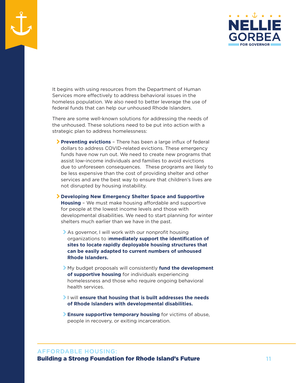

It begins with using resources from the Department of Human Services more effectively to address behavioral issues in the homeless population. We also need to better leverage the use of federal funds that can help our unhoused Rhode Islanders.

There are some well-known solutions for addressing the needs of the unhoused. These solutions need to be put into action with a strategic plan to address homelessness:

- \ **Preventing evictions** There has been a large influx of federal dollars to address COVID-related evictions. These emergency funds have now run out. We need to create new programs that assist low-income individuals and families to avoid evictions due to unforeseen consequences. These programs are likely to be less expensive than the cost of providing shelter and other services and are the best way to ensure that children's lives are not disrupted by housing instability.
- \ **Developing New Emergency Shelter Space and Supportive Housing** – We must make housing affordable and supportive for people at the lowest income levels and those with developmental disabilities. We need to start planning for winter shelters much earlier than we have in the past.
	- As governor, I will work with our nonprofit housing organizations to i**mmediately support the identification of sites to locate rapidly deployable housing structures that can be easily adapted to current numbers of unhoused Rhode Islanders.**
	- \ My budget proposals will consistently **fund the development of supportive housing** for individuals experiencing homelessness and those who require ongoing behavioral health services.
	- \ I will **ensure that housing that is built addresses the needs of Rhode Islanders with developmental disabilities.**
	- \ **Ensure supportive temporary housing** for victims of abuse, people in recovery, or exiting incarceration.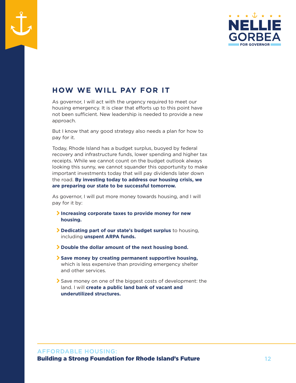

# **HOW WE WILL PAY FOR IT**

As governor, I will act with the urgency required to meet our housing emergency. It is clear that efforts up to this point have not been sufficient. New leadership is needed to provide a new approach.

But I know that any good strategy also needs a plan for how to pay for it.

Today, Rhode Island has a budget surplus, buoyed by federal recovery and infrastructure funds, lower spending and higher tax receipts. While we cannot count on the budget outlook always looking this sunny, we cannot squander this opportunity to make important investments today that will pay dividends later down the road. **By investing today to address our housing crisis, we are preparing our state to be successful tomorrow.**

As governor, I will put more money towards housing, and I will pay for it by:

- \ **Increasing corporate taxes to provide money for new housing.**
- \ **Dedicating part of our state's budget surplus** to housing, including **unspent ARPA funds.**
- \ **Double the dollar amount of the next housing bond.**
- \ **Save money by creating permanent supportive housing,**  which is less expensive than providing emergency shelter and other services.
- \ Save money on one of the biggest costs of development: the land. I will **create a public land bank of vacant and underutilized structures.**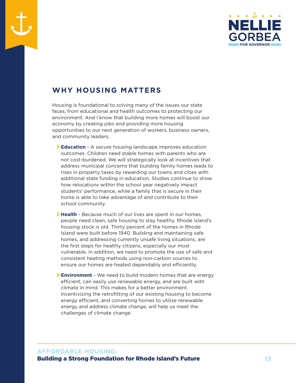

### **WHY HOUSING MATTERS**

Housing is foundational to solving many of the issues our state faces, from educational and health outcomes to protecting our environment. And I know that building more homes will boost our economy by creating jobs and providing more housing opportunities to our next generation of workers, business owners, and community leaders.

- \ **Education** A secure housing landscape improves education outcomes. Children need stable homes with parents who are not cost-burdened. We will strategically look at incentives that address municipal concerns that building family homes leads to rises in property taxes by rewarding our towns and cities with additional state funding in education. Studies continue to show how relocations within the school year negatively impact students' performance, while a family that is secure in their home is able to take advantage of and contribute to their school community.
- **Health** Because much of our lives are spent in our homes, people need clean, safe housing to stay healthy. Rhode Island's housing stock is old. Thirty percent of the homes in Rhode Island were built before 1940. Building and maintaining safe homes, and addressing currently unsafe living situations, are the first steps for healthy citizens, especially our most vulnerable. In addition, we need to promote the use of safe and consistent heating methods using non-carbon sources to ensure our homes are heated dependably and efficiently.
- \ **Environment** We need to build modern homes that are energy efficient, can easily use renewable energy, and are built with climate in mind. This makes for a better environment. Incentivizing the retrofitting of our existing housing to become energy efficient, and converting homes to utilize renewable energy and address climate change, will help us meet the challenges of climate change.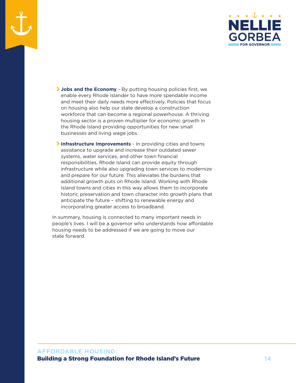

- \ **Jobs and the Economy** By putting housing policies first, we enable every Rhode Islander to have more spendable income and meet their daily needs more effectively. Policies that focus on housing also help our state develop a construction workforce that can become a regional powerhouse. A thriving housing sector is a proven multiplier for economic growth in the Rhode Island providing opportunities for new small businesses and living wage jobs.
- \ **Infrastructure Improvements** In providing cities and towns assistance to upgrade and increase their outdated sewer systems, water services, and other town financial responsibilities, Rhode Island can provide equity through infrastructure while also upgrading town services to modernize and prepare for our future. This alleviates the burdens that additional growth puts on Rhode Island. Working with Rhode Island towns and cities in this way allows them to incorporate historic preservation and town character into growth plans that anticipate the future – shifting to renewable energy and incorporating greater access to broadband.

In summary, housing is connected to many important needs in people's lives. I will be a governor who understands how affordable housing needs to be addressed if we are going to move our state forward.